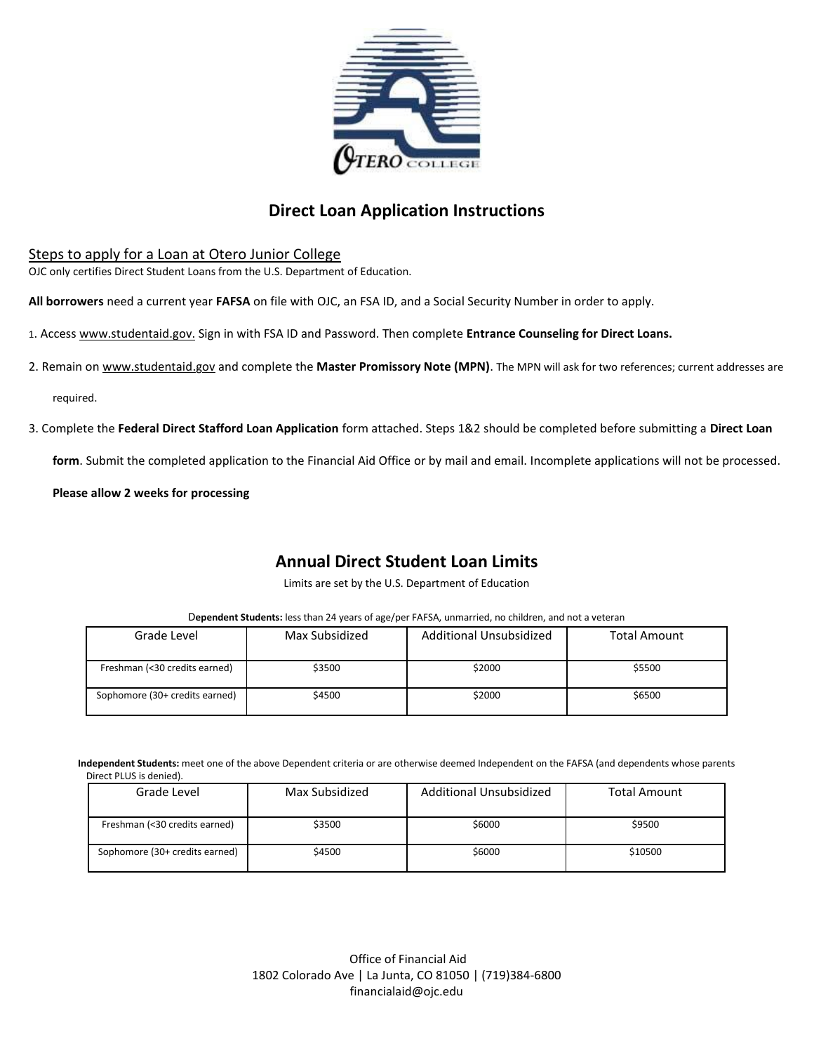

## **Direct Loan Application Instructions**

## Steps to apply for a Loan at Otero Junior College

OJC only certifies Direct Student Loans from the U.S. Department of Education.

**All borrowers** need a current year **FAFSA** on file with OJC, an FSA ID, and a Social Security Number in order to apply.

- 1. Access www.studentaid.gov. Sign in with FSA ID and Password. Then complete **Entrance Counseling for Direct Loans.**
- 2. Remain on www.studentaid.gov and complete the **Master Promissory Note (MPN)**. The MPN will ask for two references; current addresses are

required.

3. Complete the **Federal Direct Stafford Loan Application** form attached. Steps 1&2 should be completed before submitting a **Direct Loan** 

**form**. Submit the completed application to the Financial Aid Office or by mail and email. Incomplete applications will not be processed.

**Please allow 2 weeks for processing**

## **Annual Direct Student Loan Limits**

Limits are set by the U.S. Department of Education

| Dependent Students: less than 24 years of age/per FAFSA, unmarried, no children, and not a veteran |  |  |
|----------------------------------------------------------------------------------------------------|--|--|
|                                                                                                    |  |  |

| Grade Level                    | Max Subsidized | Additional Unsubsidized | <b>Total Amount</b> |
|--------------------------------|----------------|-------------------------|---------------------|
| Freshman (<30 credits earned)  | \$3500         | \$2000                  | \$5500              |
| Sophomore (30+ credits earned) | \$4500         | \$2000                  | \$6500              |

**Independent Students:** meet one of the above Dependent criteria or are otherwise deemed Independent on the FAFSA (and dependents whose parents Direct PLUS is denied).

| Grade Level                    | Max Subsidized | Additional Unsubsidized | <b>Total Amount</b> |
|--------------------------------|----------------|-------------------------|---------------------|
| Freshman (<30 credits earned)  | \$3500         | \$6000                  | \$9500              |
| Sophomore (30+ credits earned) | \$4500         | \$6000                  | \$10500             |

Office of Financial Aid 1802 Colorado Ave | La Junta, CO 81050 | (719)384-6800 financialaid@ojc.edu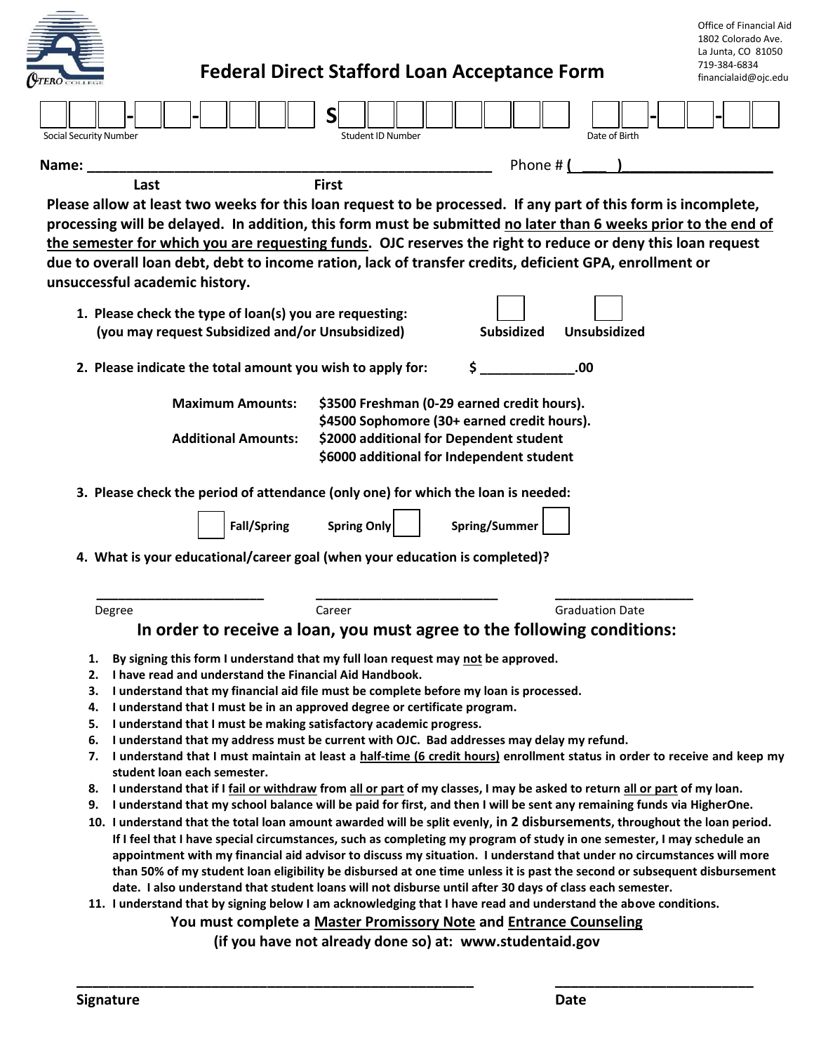| $ERO$ COLLEC           |                                                                                                                                                                                                                                                                                                                                                                                                                                                                                              | <b>Federal Direct Stafford Loan Acceptance Form</b>                     |                                                          |              |                          |    |                                             |                        |  | 719-384-6834 | Office of Financial Aid<br>1802 Colorado Ave.<br>La Junta, CO 81050<br>financialaid@ojc.edu |
|------------------------|----------------------------------------------------------------------------------------------------------------------------------------------------------------------------------------------------------------------------------------------------------------------------------------------------------------------------------------------------------------------------------------------------------------------------------------------------------------------------------------------|-------------------------------------------------------------------------|----------------------------------------------------------|--------------|--------------------------|----|---------------------------------------------|------------------------|--|--------------|---------------------------------------------------------------------------------------------|
| Social Security Number |                                                                                                                                                                                                                                                                                                                                                                                                                                                                                              |                                                                         |                                                          |              | <b>Student ID Number</b> |    |                                             | Date of Birth          |  |              |                                                                                             |
| <b>Name:</b>           |                                                                                                                                                                                                                                                                                                                                                                                                                                                                                              |                                                                         |                                                          |              |                          |    |                                             | Phone $#$ ( )          |  |              |                                                                                             |
|                        | Last                                                                                                                                                                                                                                                                                                                                                                                                                                                                                         |                                                                         |                                                          | <b>First</b> |                          |    |                                             |                        |  |              |                                                                                             |
|                        | Please allow at least two weeks for this loan request to be processed. If any part of this form is incomplete,<br>processing will be delayed. In addition, this form must be submitted no later than 6 weeks prior to the end of<br>the semester for which you are requesting funds. OJC reserves the right to reduce or deny this loan request<br>due to overall loan debt, debt to income ration, lack of transfer credits, deficient GPA, enrollment or<br>unsuccessful academic history. |                                                                         |                                                          |              |                          |    |                                             |                        |  |              |                                                                                             |
|                        | 1. Please check the type of loan(s) you are requesting:                                                                                                                                                                                                                                                                                                                                                                                                                                      |                                                                         |                                                          |              |                          |    |                                             |                        |  |              |                                                                                             |
|                        | (you may request Subsidized and/or Unsubsidized)                                                                                                                                                                                                                                                                                                                                                                                                                                             |                                                                         |                                                          |              |                          |    | <b>Subsidized</b>                           | <b>Unsubsidized</b>    |  |              |                                                                                             |
|                        |                                                                                                                                                                                                                                                                                                                                                                                                                                                                                              |                                                                         |                                                          |              |                          |    |                                             |                        |  |              |                                                                                             |
|                        | 2. Please indicate the total amount you wish to apply for:                                                                                                                                                                                                                                                                                                                                                                                                                                   |                                                                         |                                                          |              |                          | \$ |                                             | .00                    |  |              |                                                                                             |
|                        |                                                                                                                                                                                                                                                                                                                                                                                                                                                                                              | <b>Maximum Amounts:</b>                                                 |                                                          |              |                          |    | \$3500 Freshman (0-29 earned credit hours). |                        |  |              |                                                                                             |
|                        |                                                                                                                                                                                                                                                                                                                                                                                                                                                                                              |                                                                         |                                                          |              |                          |    | \$4500 Sophomore (30+ earned credit hours). |                        |  |              |                                                                                             |
|                        |                                                                                                                                                                                                                                                                                                                                                                                                                                                                                              | <b>Additional Amounts:</b>                                              |                                                          |              |                          |    | \$2000 additional for Dependent student     |                        |  |              |                                                                                             |
|                        |                                                                                                                                                                                                                                                                                                                                                                                                                                                                                              |                                                                         |                                                          |              |                          |    | \$6000 additional for Independent student   |                        |  |              |                                                                                             |
|                        |                                                                                                                                                                                                                                                                                                                                                                                                                                                                                              |                                                                         |                                                          |              |                          |    |                                             |                        |  |              |                                                                                             |
|                        | 3. Please check the period of attendance (only one) for which the loan is needed:                                                                                                                                                                                                                                                                                                                                                                                                            |                                                                         |                                                          |              |                          |    |                                             |                        |  |              |                                                                                             |
|                        |                                                                                                                                                                                                                                                                                                                                                                                                                                                                                              |                                                                         | <b>Fall/Spring</b>                                       | Spring Only  |                          |    | Spring/Summer                               |                        |  |              |                                                                                             |
|                        |                                                                                                                                                                                                                                                                                                                                                                                                                                                                                              |                                                                         |                                                          |              |                          |    |                                             |                        |  |              |                                                                                             |
|                        | 4. What is your educational/career goal (when your education is completed)?                                                                                                                                                                                                                                                                                                                                                                                                                  |                                                                         |                                                          |              |                          |    |                                             |                        |  |              |                                                                                             |
|                        |                                                                                                                                                                                                                                                                                                                                                                                                                                                                                              |                                                                         |                                                          |              |                          |    |                                             |                        |  |              |                                                                                             |
|                        | Degree                                                                                                                                                                                                                                                                                                                                                                                                                                                                                       |                                                                         |                                                          | Career       |                          |    |                                             | <b>Graduation Date</b> |  |              |                                                                                             |
|                        |                                                                                                                                                                                                                                                                                                                                                                                                                                                                                              | In order to receive a loan, you must agree to the following conditions: |                                                          |              |                          |    |                                             |                        |  |              |                                                                                             |
| 1.                     | By signing this form I understand that my full loan request may not be approved.                                                                                                                                                                                                                                                                                                                                                                                                             |                                                                         |                                                          |              |                          |    |                                             |                        |  |              |                                                                                             |
| 2.                     | I have read and understand the Financial Aid Handbook.                                                                                                                                                                                                                                                                                                                                                                                                                                       |                                                                         |                                                          |              |                          |    |                                             |                        |  |              |                                                                                             |
| З.                     | I understand that my financial aid file must be complete before my loan is processed.                                                                                                                                                                                                                                                                                                                                                                                                        |                                                                         |                                                          |              |                          |    |                                             |                        |  |              |                                                                                             |
| 4.                     | I understand that I must be in an approved degree or certificate program.                                                                                                                                                                                                                                                                                                                                                                                                                    |                                                                         |                                                          |              |                          |    |                                             |                        |  |              |                                                                                             |
| 5.                     | I understand that I must be making satisfactory academic progress.                                                                                                                                                                                                                                                                                                                                                                                                                           |                                                                         |                                                          |              |                          |    |                                             |                        |  |              |                                                                                             |
| 6.<br>7.               | I understand that my address must be current with OJC. Bad addresses may delay my refund.<br>I understand that I must maintain at least a half-time (6 credit hours) enrollment status in order to receive and keep my                                                                                                                                                                                                                                                                       |                                                                         |                                                          |              |                          |    |                                             |                        |  |              |                                                                                             |
|                        | student loan each semester.                                                                                                                                                                                                                                                                                                                                                                                                                                                                  |                                                                         |                                                          |              |                          |    |                                             |                        |  |              |                                                                                             |
| 8.                     | I understand that if I fail or withdraw from all or part of my classes, I may be asked to return all or part of my loan.                                                                                                                                                                                                                                                                                                                                                                     |                                                                         |                                                          |              |                          |    |                                             |                        |  |              |                                                                                             |
| 9.                     | I understand that my school balance will be paid for first, and then I will be sent any remaining funds via HigherOne.                                                                                                                                                                                                                                                                                                                                                                       |                                                                         |                                                          |              |                          |    |                                             |                        |  |              |                                                                                             |
|                        | 10. I understand that the total loan amount awarded will be split evenly, in 2 disbursements, throughout the loan period.                                                                                                                                                                                                                                                                                                                                                                    |                                                                         |                                                          |              |                          |    |                                             |                        |  |              |                                                                                             |
|                        | If I feel that I have special circumstances, such as completing my program of study in one semester, I may schedule an<br>appointment with my financial aid advisor to discuss my situation. I understand that under no circumstances will more                                                                                                                                                                                                                                              |                                                                         |                                                          |              |                          |    |                                             |                        |  |              |                                                                                             |
|                        | than 50% of my student loan eligibility be disbursed at one time unless it is past the second or subsequent disbursement                                                                                                                                                                                                                                                                                                                                                                     |                                                                         |                                                          |              |                          |    |                                             |                        |  |              |                                                                                             |
|                        | date. I also understand that student loans will not disburse until after 30 days of class each semester.                                                                                                                                                                                                                                                                                                                                                                                     |                                                                         |                                                          |              |                          |    |                                             |                        |  |              |                                                                                             |
|                        | 11. I understand that by signing below I am acknowledging that I have read and understand the above conditions.                                                                                                                                                                                                                                                                                                                                                                              |                                                                         |                                                          |              |                          |    |                                             |                        |  |              |                                                                                             |
|                        |                                                                                                                                                                                                                                                                                                                                                                                                                                                                                              | You must complete a Master Promissory Note and Entrance Counseling      |                                                          |              |                          |    |                                             |                        |  |              |                                                                                             |
|                        |                                                                                                                                                                                                                                                                                                                                                                                                                                                                                              |                                                                         | (if you have not already done so) at: www.studentaid.gov |              |                          |    |                                             |                        |  |              |                                                                                             |
|                        |                                                                                                                                                                                                                                                                                                                                                                                                                                                                                              |                                                                         |                                                          |              |                          |    |                                             |                        |  |              |                                                                                             |
|                        |                                                                                                                                                                                                                                                                                                                                                                                                                                                                                              |                                                                         |                                                          |              |                          |    |                                             |                        |  |              |                                                                                             |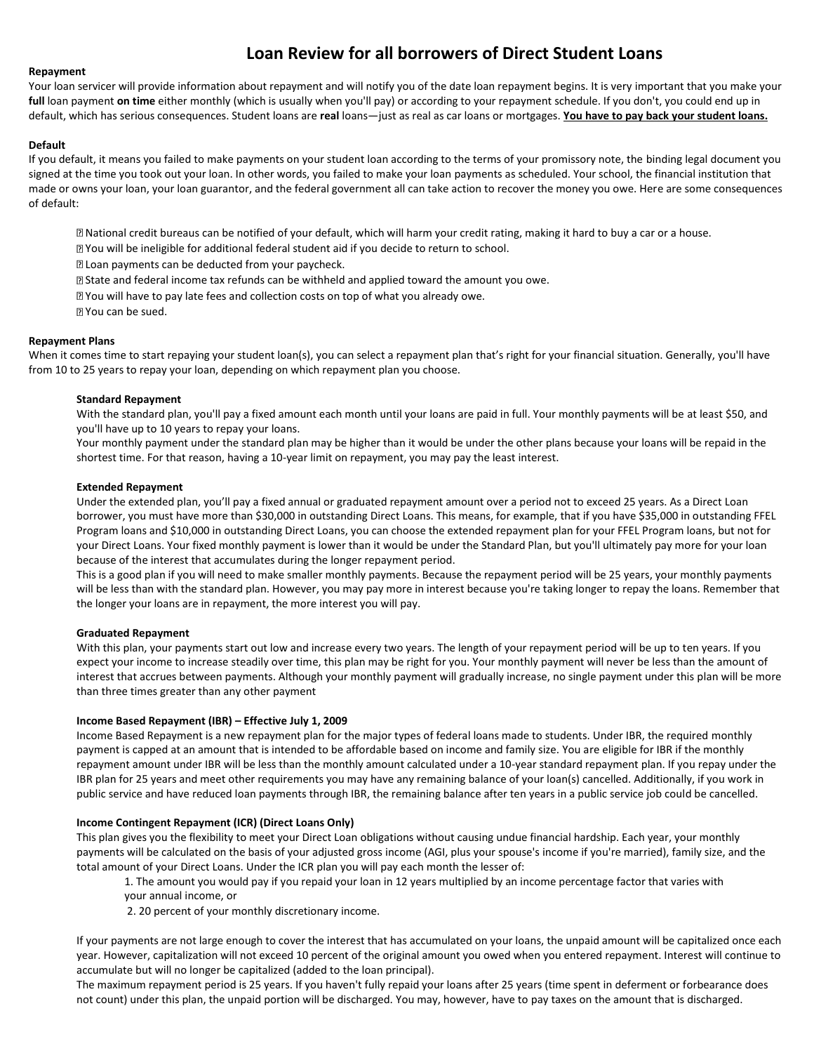## **Loan Review for all borrowers of Direct Student Loans**

#### **Repayment**

Your loan servicer will provide information about repayment and will notify you of the date loan repayment begins. It is very important that you make your full loan payment on time either monthly (which is usually when you'll pay) or according to your repayment schedule. If you don't, you could end up in default, which has serious consequences. Student loans are **real** loans—just as real as car loans or mortgages. **You have to pay back your student loans.** 

#### **Default**

If you default, it means you failed to make payments on your student loan according to the terms of your promissory note, the binding legal document you signed at the time you took out your loan. In other words, you failed to make your loan payments as scheduled. Your school, the financial institution that made or owns your loan, your loan guarantor, and the federal government all can take action to recover the money you owe. Here are some consequences of default:

National credit bureaus can be notified of your default, which will harm your credit rating, making it hard to buy a car or a house.

You will be ineligible for additional federal student aid if you decide to return to school.

Loan payments can be deducted from your paycheck.

State and federal income tax refunds can be withheld and applied toward the amount you owe.

You will have to pay late fees and collection costs on top of what you already owe.

You can be sued.

#### **Repayment Plans**

When it comes time to start repaying your student loan(s), you can select a repayment plan that's right for your financial situation. Generally, you'll have from 10 to 25 years to repay your loan, depending on which repayment plan you choose.

#### **Standard Repayment**

With the standard plan, you'll pay a fixed amount each month until your loans are paid in full. Your monthly payments will be at least \$50, and you'll have up to 10 years to repay your loans.

Your monthly payment under the standard plan may be higher than it would be under the other plans because your loans will be repaid in the shortest time. For that reason, having a 10-year limit on repayment, you may pay the least interest.

#### **Extended Repayment**

Under the extended plan, you'll pay a fixed annual or graduated repayment amount over a period not to exceed 25 years. As a Direct Loan borrower, you must have more than \$30,000 in outstanding Direct Loans. This means, for example, that if you have \$35,000 in outstanding FFEL Program loans and \$10,000 in outstanding Direct Loans, you can choose the extended repayment plan for your FFEL Program loans, but not for your Direct Loans. Your fixed monthly payment is lower than it would be under the Standard Plan, but you'll ultimately pay more for your loan because of the interest that accumulates during the longer repayment period.

This is a good plan if you will need to make smaller monthly payments. Because the repayment period will be 25 years, your monthly payments will be less than with the standard plan. However, you may pay more in interest because you're taking longer to repay the loans. Remember that the longer your loans are in repayment, the more interest you will pay.

#### **Graduated Repayment**

With this plan, your payments start out low and increase every two years. The length of your repayment period will be up to ten years. If you expect your income to increase steadily over time, this plan may be right for you. Your monthly payment will never be less than the amount of interest that accrues between payments. Although your monthly payment will gradually increase, no single payment under this plan will be more than three times greater than any other payment

#### **Income Based Repayment (IBR) – Effective July 1, 2009**

Income Based Repayment is a new repayment plan for the major types of federal loans made to students. Under IBR, the required monthly payment is capped at an amount that is intended to be affordable based on income and family size. You are eligible for IBR if the monthly repayment amount under IBR will be less than the monthly amount calculated under a 10-year standard repayment plan. If you repay under the IBR plan for 25 years and meet other requirements you may have any remaining balance of your loan(s) cancelled. Additionally, if you work in public service and have reduced loan payments through IBR, the remaining balance after ten years in a public service job could be cancelled.

#### **Income Contingent Repayment (ICR) (Direct Loans Only)**

This plan gives you the flexibility to meet your Direct Loan obligations without causing undue financial hardship. Each year, your monthly payments will be calculated on the basis of your adjusted gross income (AGI, plus your spouse's income if you're married), family size, and the total amount of your Direct Loans. Under the ICR plan you will pay each month the lesser of:

1. The amount you would pay if you repaid your loan in 12 years multiplied by an income percentage factor that varies with your annual income, or

2. 20 percent of your monthly discretionary income.

If your payments are not large enough to cover the interest that has accumulated on your loans, the unpaid amount will be capitalized once each year. However, capitalization will not exceed 10 percent of the original amount you owed when you entered repayment. Interest will continue to accumulate but will no longer be capitalized (added to the loan principal).

The maximum repayment period is 25 years. If you haven't fully repaid your loans after 25 years (time spent in deferment or forbearance does not count) under this plan, the unpaid portion will be discharged. You may, however, have to pay taxes on the amount that is discharged.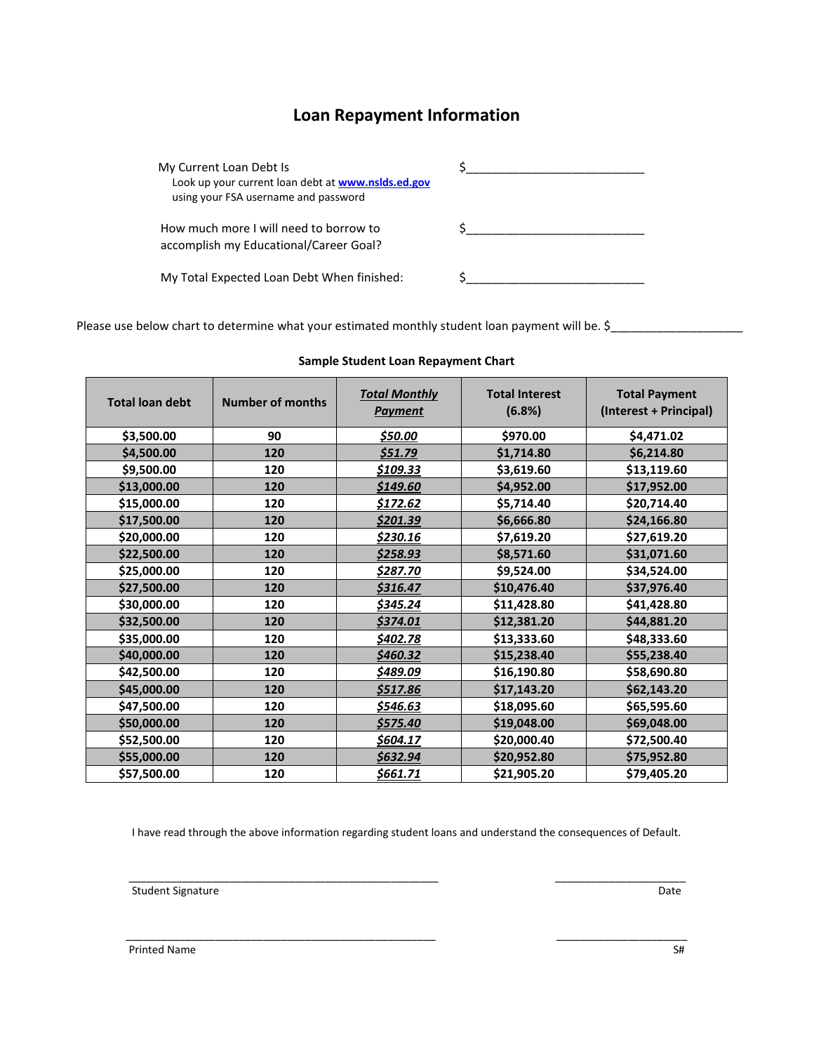# **Loan Repayment Information**

| My Current Loan Debt Is<br>Look up your current loan debt at www.nslds.ed.gov<br>using your FSA username and password |  |
|-----------------------------------------------------------------------------------------------------------------------|--|
| How much more I will need to borrow to<br>accomplish my Educational/Career Goal?                                      |  |
| My Total Expected Loan Debt When finished:                                                                            |  |

Please use below chart to determine what your estimated monthly student loan payment will be. \$\_\_\_\_\_\_\_\_\_\_\_\_\_\_\_

| <b>Total loan debt</b> | <b>Number of months</b> | <b>Total Monthly</b><br><b>Payment</b> | <b>Total Interest</b><br>(6.8%) | <b>Total Payment</b><br>(Interest + Principal) |
|------------------------|-------------------------|----------------------------------------|---------------------------------|------------------------------------------------|
| \$3,500.00             | 90                      | <u>\$50.00</u>                         | \$970.00                        | \$4,471.02                                     |
| \$4,500.00             | 120                     | \$51.79                                | \$1,714.80                      | \$6,214.80                                     |
| \$9,500.00             | 120                     | <u>\$109.33</u>                        | \$3,619.60                      | \$13,119.60                                    |
| \$13,000.00            | 120                     | <u>\$149.60</u>                        | \$4,952.00                      | \$17,952.00                                    |
| \$15,000.00            | 120                     | \$172.62                               | \$5,714.40                      | \$20,714.40                                    |
| \$17,500.00            | 120                     | \$201.39                               | \$6,666.80                      | \$24,166.80                                    |
| \$20,000.00            | 120                     | \$230.16                               | \$7,619.20                      | \$27,619.20                                    |
| \$22,500.00            | 120                     | \$258.93                               | \$8,571.60                      | \$31,071.60                                    |
| \$25,000.00            | 120                     | \$287.70                               | \$9,524.00                      | \$34,524.00                                    |
| \$27,500.00            | 120                     | \$316.47                               | \$10,476.40                     | \$37,976.40                                    |
| \$30,000.00            | 120                     | \$345.24                               | \$11,428.80                     | \$41,428.80                                    |
| \$32,500.00            | 120                     | \$374.01                               | \$12,381.20                     | \$44,881.20                                    |
| \$35,000.00            | 120                     | <u>\$402.78</u>                        | \$13,333.60                     | \$48,333.60                                    |
| \$40,000.00            | 120                     | \$460.32                               | \$15,238.40                     | \$55,238.40                                    |
| \$42,500.00            | 120                     | \$489.09                               | \$16,190.80                     | \$58,690.80                                    |
| \$45,000.00            | 120                     | \$517.86                               | \$17,143.20                     | \$62,143.20                                    |
| \$47,500.00            | 120                     | \$546.63                               | \$18,095.60                     | \$65,595.60                                    |
| \$50,000.00            | 120                     | \$575.40                               | \$19,048.00                     | \$69,048.00                                    |
| \$52,500.00            | 120                     | \$604.17                               | \$20,000.40                     | \$72,500.40                                    |
| \$55,000.00            | 120                     | \$632.94                               | \$20,952.80                     | \$75,952.80                                    |
| \$57,500.00            | 120                     | \$661.71                               | \$21,905.20                     | \$79,405.20                                    |

## **Sample Student Loan Repayment Chart**

I have read through the above information regarding student loans and understand the consequences of Default.

\_\_\_\_\_\_\_\_\_\_\_\_\_\_\_\_\_\_\_\_\_\_\_\_\_\_\_\_\_\_\_\_\_\_\_\_\_\_\_\_\_\_\_\_\_\_\_\_\_\_\_\_ \_\_\_\_\_\_\_\_\_\_\_\_\_\_\_\_\_\_\_\_\_\_

\_\_\_\_\_\_\_\_\_\_\_\_\_\_\_\_\_\_\_\_\_\_\_\_\_\_\_\_\_\_\_\_\_\_\_\_\_\_\_\_\_\_\_\_\_\_\_\_\_\_\_\_ \_\_\_\_\_\_\_\_\_\_\_\_\_\_\_\_\_\_\_\_\_\_

Student Signature Date Date of the Student Signature Date of the Student Signature Date Date of the Date of the Date of the Date of the Date of the Date of the Date of the Date of the Date of the Date of the Date of the Da

Printed Name S#